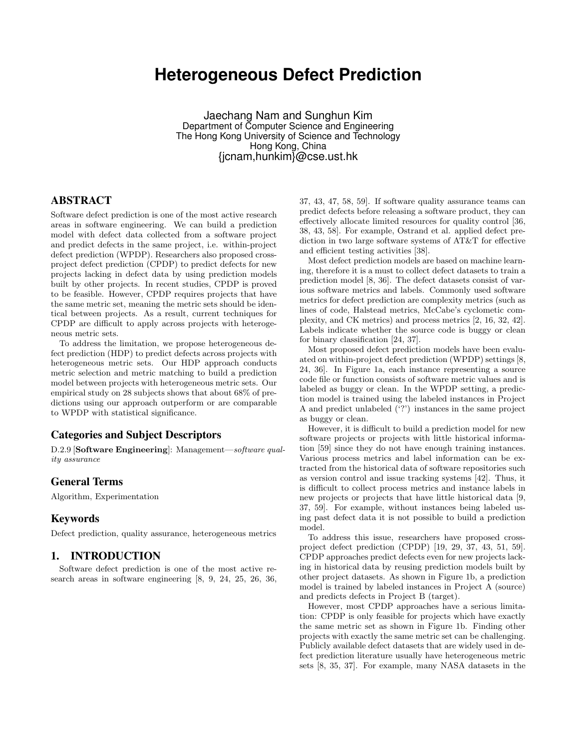# **Heterogeneous Defect Prediction**

Jaechang Nam and Sunghun Kim Department of Computer Science and Engineering The Hong Kong University of Science and Technology Hong Kong, China {jcnam,hunkim}@cse.ust.hk

# ABSTRACT

Software defect prediction is one of the most active research areas in software engineering. We can build a prediction model with defect data collected from a software project and predict defects in the same project, i.e. within-project defect prediction (WPDP). Researchers also proposed crossproject defect prediction (CPDP) to predict defects for new projects lacking in defect data by using prediction models built by other projects. In recent studies, CPDP is proved to be feasible. However, CPDP requires projects that have the same metric set, meaning the metric sets should be identical between projects. As a result, current techniques for CPDP are difficult to apply across projects with heterogeneous metric sets.

To address the limitation, we propose heterogeneous defect prediction (HDP) to predict defects across projects with heterogeneous metric sets. Our HDP approach conducts metric selection and metric matching to build a prediction model between projects with heterogeneous metric sets. Our empirical study on 28 subjects shows that about 68% of predictions using our approach outperform or are comparable to WPDP with statistical significance.

## Categories and Subject Descriptors

D.2.9 [Software Engineering]: Management—software quality assurance

# General Terms

Algorithm, Experimentation

## Keywords

Defect prediction, quality assurance, heterogeneous metrics

## 1. INTRODUCTION

Software defect prediction is one of the most active research areas in software engineering [8, 9, 24, 25, 26, 36, 37, 43, 47, 58, 59]. If software quality assurance teams can predict defects before releasing a software product, they can effectively allocate limited resources for quality control [36, 38, 43, 58]. For example, Ostrand et al. applied defect prediction in two large software systems of AT&T for effective and efficient testing activities [38].

Most defect prediction models are based on machine learning, therefore it is a must to collect defect datasets to train a prediction model [8, 36]. The defect datasets consist of various software metrics and labels. Commonly used software metrics for defect prediction are complexity metrics (such as lines of code, Halstead metrics, McCabe's cyclometic complexity, and CK metrics) and process metrics [2, 16, 32, 42]. Labels indicate whether the source code is buggy or clean for binary classification [24, 37].

Most proposed defect prediction models have been evaluated on within-project defect prediction (WPDP) settings [8, 24, 36]. In Figure 1a, each instance representing a source code file or function consists of software metric values and is labeled as buggy or clean. In the WPDP setting, a prediction model is trained using the labeled instances in Project A and predict unlabeled ('?') instances in the same project as buggy or clean.

However, it is difficult to build a prediction model for new software projects or projects with little historical information [59] since they do not have enough training instances. Various process metrics and label information can be extracted from the historical data of software repositories such as version control and issue tracking systems [42]. Thus, it is difficult to collect process metrics and instance labels in new projects or projects that have little historical data [9, 37, 59]. For example, without instances being labeled using past defect data it is not possible to build a prediction model.

To address this issue, researchers have proposed crossproject defect prediction (CPDP) [19, 29, 37, 43, 51, 59]. CPDP approaches predict defects even for new projects lacking in historical data by reusing prediction models built by other project datasets. As shown in Figure 1b, a prediction model is trained by labeled instances in Project A (source) and predicts defects in Project B (target).

However, most CPDP approaches have a serious limitation: CPDP is only feasible for projects which have exactly the same metric set as shown in Figure 1b. Finding other projects with exactly the same metric set can be challenging. Publicly available defect datasets that are widely used in defect prediction literature usually have heterogeneous metric sets [8, 35, 37]. For example, many NASA datasets in the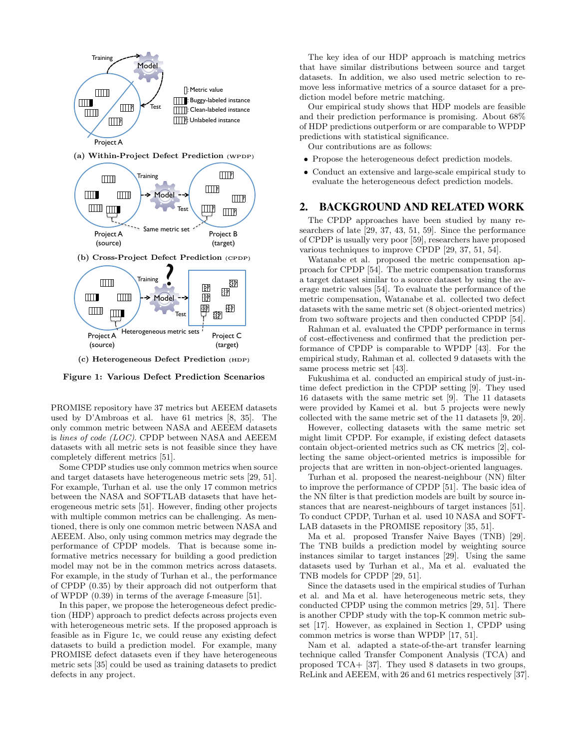

(a) Within-Project Defect Prediction (WPDP)



(c) Heterogeneous Defect Prediction (HDP)

Figure 1: Various Defect Prediction Scenarios

PROMISE repository have 37 metrics but AEEEM datasets used by D'Ambroas et al. have 61 metrics [8, 35]. The only common metric between NASA and AEEEM datasets is lines of code (LOC). CPDP between NASA and AEEEM datasets with all metric sets is not feasible since they have completely different metrics [51].

Some CPDP studies use only common metrics when source and target datasets have heterogeneous metric sets [29, 51]. For example, Turhan et al. use the only 17 common metrics between the NASA and SOFTLAB datasets that have heterogeneous metric sets [51]. However, finding other projects with multiple common metrics can be challenging. As mentioned, there is only one common metric between NASA and AEEEM. Also, only using common metrics may degrade the performance of CPDP models. That is because some informative metrics necessary for building a good prediction model may not be in the common metrics across datasets. For example, in the study of Turhan et al., the performance of CPDP (0.35) by their approach did not outperform that of WPDP (0.39) in terms of the average f-measure [51].

In this paper, we propose the heterogeneous defect prediction (HDP) approach to predict defects across projects even with heterogeneous metric sets. If the proposed approach is feasible as in Figure 1c, we could reuse any existing defect datasets to build a prediction model. For example, many PROMISE defect datasets even if they have heterogeneous metric sets [35] could be used as training datasets to predict defects in any project.

The key idea of our HDP approach is matching metrics that have similar distributions between source and target datasets. In addition, we also used metric selection to remove less informative metrics of a source dataset for a prediction model before metric matching.

Our empirical study shows that HDP models are feasible and their prediction performance is promising. About 68% of HDP predictions outperform or are comparable to WPDP predictions with statistical significance.

Our contributions are as follows:

- Propose the heterogeneous defect prediction models.
- Conduct an extensive and large-scale empirical study to evaluate the heterogeneous defect prediction models.

## 2. BACKGROUND AND RELATED WORK

The CPDP approaches have been studied by many researchers of late [29, 37, 43, 51, 59]. Since the performance of CPDP is usually very poor [59], researchers have proposed various techniques to improve CPDP [29, 37, 51, 54].

Watanabe et al. proposed the metric compensation approach for CPDP [54]. The metric compensation transforms a target dataset similar to a source dataset by using the average metric values [54]. To evaluate the performance of the metric compensation, Watanabe et al. collected two defect datasets with the same metric set (8 object-oriented metrics) from two software projects and then conducted CPDP [54].

Rahman et al. evaluated the CPDP performance in terms of cost-effectiveness and confirmed that the prediction performance of CPDP is comparable to WPDP [43]. For the empirical study, Rahman et al. collected 9 datasets with the same process metric set [43].

Fukushima et al. conducted an empirical study of just-intime defect prediction in the CPDP setting [9]. They used 16 datasets with the same metric set [9]. The 11 datasets were provided by Kamei et al. but 5 projects were newly collected with the same metric set of the 11 datasets [9, 20].

However, collecting datasets with the same metric set might limit CPDP. For example, if existing defect datasets contain object-oriented metrics such as CK metrics [2], collecting the same object-oriented metrics is impossible for projects that are written in non-object-oriented languages.

Turhan et al. proposed the nearest-neighbour (NN) filter to improve the performance of CPDP [51]. The basic idea of the NN filter is that prediction models are built by source instances that are nearest-neighbours of target instances [51]. To conduct CPDP, Turhan et al. used 10 NASA and SOFT-LAB datasets in the PROMISE repository [35, 51].

Ma et al. proposed Transfer Naive Bayes (TNB) [29]. The TNB builds a prediction model by weighting source instances similar to target instances [29]. Using the same datasets used by Turhan et al., Ma et al. evaluated the TNB models for CPDP [29, 51].

Since the datasets used in the empirical studies of Turhan et al. and Ma et al. have heterogeneous metric sets, they conducted CPDP using the common metrics [29, 51]. There is another CPDP study with the top-K common metric subset [17]. However, as explained in Section 1, CPDP using common metrics is worse than WPDP [17, 51].

Nam et al. adapted a state-of-the-art transfer learning technique called Transfer Component Analysis (TCA) and proposed TCA+ [37]. They used 8 datasets in two groups, ReLink and AEEEM, with 26 and 61 metrics respectively [37].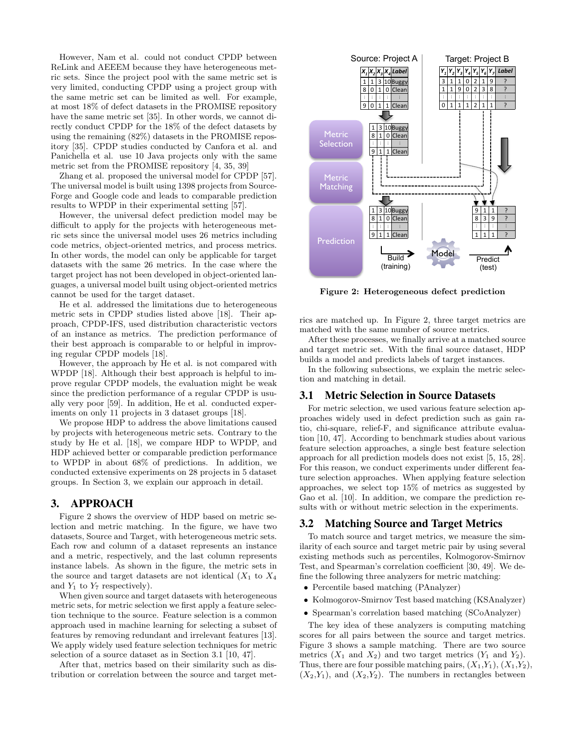However, Nam et al. could not conduct CPDP between ReLink and AEEEM because they have heterogeneous metric sets. Since the project pool with the same metric set is very limited, conducting CPDP using a project group with the same metric set can be limited as well. For example, at most 18% of defect datasets in the PROMISE repository have the same metric set [35]. In other words, we cannot directly conduct CPDP for the 18% of the defect datasets by using the remaining (82%) datasets in the PROMISE repository [35]. CPDP studies conducted by Canfora et al. and Panichella et al. use 10 Java projects only with the same metric set from the PROMISE repository [4, 35, 39]

Zhang et al. proposed the universal model for CPDP [57]. The universal model is built using 1398 projects from Source-Forge and Google code and leads to comparable prediction results to WPDP in their experimental setting [57].

However, the universal defect prediction model may be difficult to apply for the projects with heterogeneous metric sets since the universal model uses 26 metrics including code metrics, object-oriented metrics, and process metrics. In other words, the model can only be applicable for target datasets with the same 26 metrics. In the case where the target project has not been developed in object-oriented languages, a universal model built using object-oriented metrics cannot be used for the target dataset.

He et al. addressed the limitations due to heterogeneous metric sets in CPDP studies listed above [18]. Their approach, CPDP-IFS, used distribution characteristic vectors of an instance as metrics. The prediction performance of their best approach is comparable to or helpful in improving regular CPDP models [18].

However, the approach by He et al. is not compared with WPDP [18]. Although their best approach is helpful to improve regular CPDP models, the evaluation might be weak since the prediction performance of a regular CPDP is usually very poor [59]. In addition, He et al. conducted experiments on only 11 projects in 3 dataset groups [18].

We propose HDP to address the above limitations caused by projects with heterogeneous metric sets. Contrary to the study by He et al. [18], we compare HDP to WPDP, and HDP achieved better or comparable prediction performance to WPDP in about 68% of predictions. In addition, we conducted extensive experiments on 28 projects in 5 dataset groups. In Section 3, we explain our approach in detail.

## 3. APPROACH

Figure 2 shows the overview of HDP based on metric selection and metric matching. In the figure, we have two datasets, Source and Target, with heterogeneous metric sets. Each row and column of a dataset represents an instance and a metric, respectively, and the last column represents instance labels. As shown in the figure, the metric sets in the source and target datasets are not identical  $(X_1$  to  $X_4$ and  $Y_1$  to  $Y_7$  respectively).

When given source and target datasets with heterogeneous metric sets, for metric selection we first apply a feature selection technique to the source. Feature selection is a common approach used in machine learning for selecting a subset of features by removing redundant and irrelevant features [13]. We apply widely used feature selection techniques for metric selection of a source dataset as in Section 3.1 [10, 47].

After that, metrics based on their similarity such as distribution or correlation between the source and target met-



Figure 2: Heterogeneous defect prediction

rics are matched up. In Figure 2, three target metrics are matched with the same number of source metrics.

After these processes, we finally arrive at a matched source and target metric set. With the final source dataset, HDP builds a model and predicts labels of target instances.

In the following subsections, we explain the metric selection and matching in detail.

## 3.1 Metric Selection in Source Datasets

For metric selection, we used various feature selection approaches widely used in defect prediction such as gain ratio, chi-square, relief-F, and significance attribute evaluation [10, 47]. According to benchmark studies about various feature selection approaches, a single best feature selection approach for all prediction models does not exist [5, 15, 28]. For this reason, we conduct experiments under different feature selection approaches. When applying feature selection approaches, we select top 15% of metrics as suggested by Gao et al. [10]. In addition, we compare the prediction results with or without metric selection in the experiments.

## 3.2 Matching Source and Target Metrics

To match source and target metrics, we measure the similarity of each source and target metric pair by using several existing methods such as percentiles, Kolmogorov-Smirnov Test, and Spearman's correlation coefficient [30, 49]. We define the following three analyzers for metric matching:

- Percentile based matching (PAnalyzer)
- Kolmogorov-Smirnov Test based matching (KSAnalyzer)
- Spearman's correlation based matching (SCoAnalyzer)

The key idea of these analyzers is computing matching scores for all pairs between the source and target metrics. Figure 3 shows a sample matching. There are two source metrics  $(X_1 \text{ and } X_2)$  and two target metrics  $(Y_1 \text{ and } Y_2)$ . Thus, there are four possible matching pairs,  $(X_1,Y_1), (X_1,Y_2)$ ,  $(X_2,Y_1)$ , and  $(X_2,Y_2)$ . The numbers in rectangles between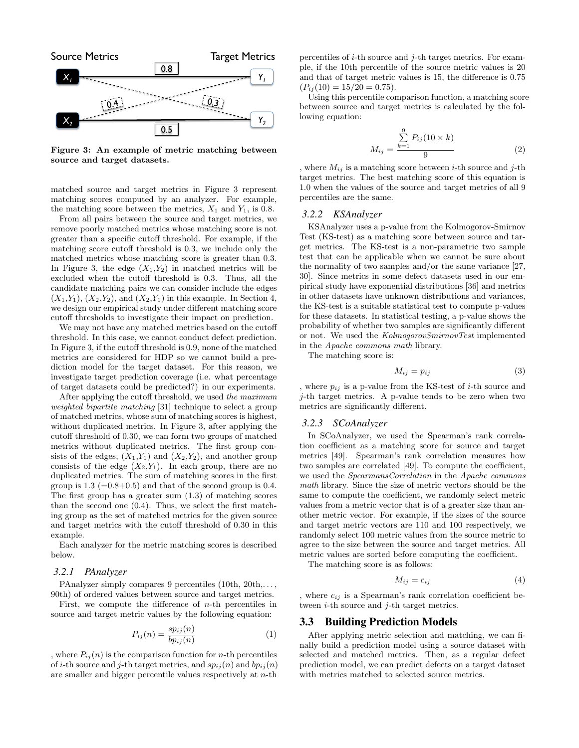

Figure 3: An example of metric matching between source and target datasets.

matched source and target metrics in Figure 3 represent matching scores computed by an analyzer. For example, the matching score between the metrics,  $X_1$  and  $Y_1$ , is 0.8.

From all pairs between the source and target metrics, we remove poorly matched metrics whose matching score is not greater than a specific cutoff threshold. For example, if the matching score cutoff threshold is 0.3, we include only the matched metrics whose matching score is greater than 0.3. In Figure 3, the edge  $(X_1,Y_2)$  in matched metrics will be excluded when the cutoff threshold is 0.3. Thus, all the candidate matching pairs we can consider include the edges  $(X_1,Y_1), (X_2,Y_2),$  and  $(X_2,Y_1)$  in this example. In Section 4, we design our empirical study under different matching score cutoff thresholds to investigate their impact on prediction.

We may not have any matched metrics based on the cutoff threshold. In this case, we cannot conduct defect prediction. In Figure 3, if the cutoff threshold is 0.9, none of the matched metrics are considered for HDP so we cannot build a prediction model for the target dataset. For this reason, we investigate target prediction coverage (i.e. what percentage of target datasets could be predicted?) in our experiments.

After applying the cutoff threshold, we used the maximum weighted bipartite matching [31] technique to select a group of matched metrics, whose sum of matching scores is highest, without duplicated metrics. In Figure 3, after applying the cutoff threshold of 0.30, we can form two groups of matched metrics without duplicated metrics. The first group consists of the edges,  $(X_1,Y_1)$  and  $(X_2,Y_2)$ , and another group consists of the edge  $(X_2,Y_1)$ . In each group, there are no duplicated metrics. The sum of matching scores in the first group is  $1.3$  (=0.8+0.5) and that of the second group is 0.4. The first group has a greater sum (1.3) of matching scores than the second one (0.4). Thus, we select the first matching group as the set of matched metrics for the given source and target metrics with the cutoff threshold of 0.30 in this example.

Each analyzer for the metric matching scores is described below.

#### *3.2.1 PAnalyzer*

PAnalyzer simply compares 9 percentiles (10th, 20th,..., 90th) of ordered values between source and target metrics.

First, we compute the difference of  $n$ -th percentiles in source and target metric values by the following equation:

$$
P_{ij}(n) = \frac{sp_{ij}(n)}{bp_{ij}(n)}\tag{1}
$$

, where  $P_{ij}(n)$  is the comparison function for *n*-th percentiles of *i*-th source and *j*-th target metrics, and  $sp_{ii}(n)$  and  $bp_{ii}(n)$ are smaller and bigger percentile values respectively at n-th percentiles of  $i$ -th source and  $j$ -th target metrics. For example, if the 10th percentile of the source metric values is 20 and that of target metric values is 15, the difference is 0.75  $(P_{ij}(10) = 15/20 = 0.75).$ 

Using this percentile comparison function, a matching score between source and target metrics is calculated by the following equation:

$$
M_{ij} = \frac{\sum_{k=1}^{9} P_{ij}(10 \times k)}{9}
$$
 (2)

, where  $M_{ij}$  is a matching score between *i*-th source and *j*-th target metrics. The best matching score of this equation is 1.0 when the values of the source and target metrics of all 9 percentiles are the same.

#### *3.2.2 KSAnalyzer*

KSAnalyzer uses a p-value from the Kolmogorov-Smirnov Test (KS-test) as a matching score between source and target metrics. The KS-test is a non-parametric two sample test that can be applicable when we cannot be sure about the normality of two samples and/or the same variance [27, 30]. Since metrics in some defect datasets used in our empirical study have exponential distributions [36] and metrics in other datasets have unknown distributions and variances, the KS-test is a suitable statistical test to compute p-values for these datasets. In statistical testing, a p-value shows the probability of whether two samples are significantly different or not. We used the KolmogorovSmirnovTest implemented in the Apache commons math library.

The matching score is:

$$
M_{ij} = p_{ij} \tag{3}
$$

, where  $p_{ij}$  is a p-value from the KS-test of *i*-th source and j-th target metrics. A p-value tends to be zero when two metrics are significantly different.

#### *3.2.3 SCoAnalyzer*

In SCoAnalyzer, we used the Spearman's rank correlation coefficient as a matching score for source and target metrics [49]. Spearman's rank correlation measures how two samples are correlated [49]. To compute the coefficient, we used the SpearmansCorrelation in the Apache commons math library. Since the size of metric vectors should be the same to compute the coefficient, we randomly select metric values from a metric vector that is of a greater size than another metric vector. For example, if the sizes of the source and target metric vectors are 110 and 100 respectively, we randomly select 100 metric values from the source metric to agree to the size between the source and target metrics. All metric values are sorted before computing the coefficient.

The matching score is as follows:

$$
M_{ij} = c_{ij} \tag{4}
$$

, where  $c_{ij}$  is a Spearman's rank correlation coefficient between  $i$ -th source and  $j$ -th target metrics.

### 3.3 Building Prediction Models

After applying metric selection and matching, we can finally build a prediction model using a source dataset with selected and matched metrics. Then, as a regular defect prediction model, we can predict defects on a target dataset with metrics matched to selected source metrics.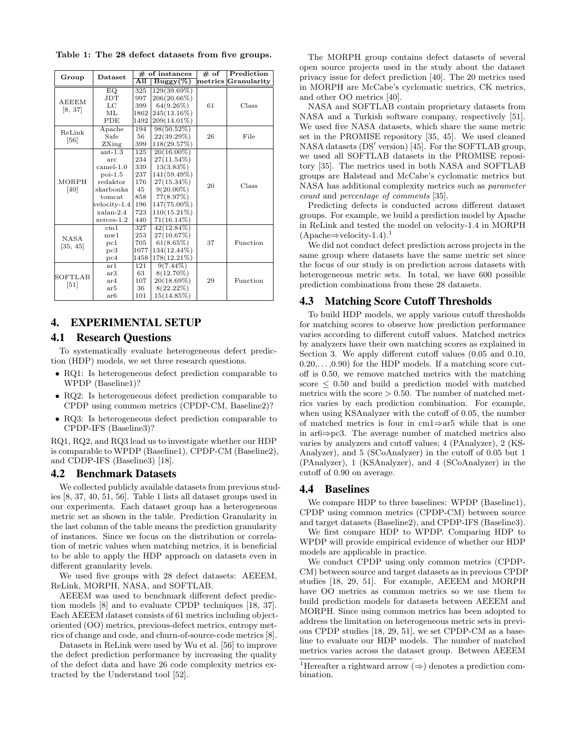Table 1: The 28 defect datasets from five groups.

|                          | <b>Dataset</b>   |                      | $#$ of instances                | $#$ of | Prediction          |  |
|--------------------------|------------------|----------------------|---------------------------------|--------|---------------------|--|
| Group                    |                  | $\overline{\rm All}$ | $\overline{\mathrm{Buggy}(\%)}$ |        | metrics Granularitv |  |
|                          | EQ.              | 325                  | 129(39.69%)                     |        |                     |  |
| <b>AEEEM</b>             | JDT              | 997                  | 206(20.66%)                     |        |                     |  |
|                          | LC               | 399                  | 64(9.26%)                       | 61     | Class               |  |
| [8, 37]                  | ML               | 1862                 | $245(13.16\%)$                  |        |                     |  |
|                          | PDE              | 1492                 | 209(14.01%)                     |        |                     |  |
| ReLink                   | Apache           | 194                  | 98(50.52%)                      |        |                     |  |
| [56]                     | Safe             | 56.                  | 22(39.29%)                      | 26     | File                |  |
|                          | ZXing            | 399                  | 118(29.57%)                     |        |                     |  |
|                          | $ant-1.3$        | 125                  | $20(16.00\%)$                   |        |                     |  |
|                          | arc              | 234                  | $27(11.54\%)$                   |        | Class               |  |
|                          | camel-1.0        | 339                  | $13(3.83\%)$                    |        |                     |  |
|                          | $poi-1.5$        | 237                  | 141(59.49%)                     |        |                     |  |
| MORPH                    | redaktor         | 176                  | $27(15.34\%)$                   | 20     |                     |  |
| [40]                     | skarbonka        | 45                   | $9(20.00\%)$                    |        |                     |  |
|                          | tomcat           | 858                  | 77(8.97%)                       |        |                     |  |
|                          | velocity-1.4     | 196                  | 147(75.00%)                     |        |                     |  |
|                          | xalan-2.4        | 723                  | $110(15.21\%)$                  |        |                     |  |
|                          | $x$ erces- $1.2$ | 440                  | $71(16.14\%)$                   |        |                     |  |
|                          | cm1              | 327                  | 42(12.84%)                      |        |                     |  |
| <b>NASA</b>              | $m$ w $1$        | 253                  | 27(10.67%)                      |        |                     |  |
| [35, 45]                 | pc1              | 705                  | 61(8.65%)                       | 37     | Function            |  |
|                          | pc3              | 1077                 | 134(12.44%)                     |        |                     |  |
|                          | pc4              | 1458                 | 178(12.21%)                     |        |                     |  |
| <b>SOFTLAB</b><br>$[51]$ | ar1              | 121                  | $9(7.44\%)$                     |        |                     |  |
|                          | ar3              | 63                   | $8(12.70\%)$                    |        |                     |  |
|                          | ar4              | 107                  | 20(18.69%)                      | 29     | Function            |  |
|                          | ar5              | 36                   | $8(22.22\%)$                    |        |                     |  |
|                          | ar6              | 101                  | 15(14.85%)                      |        |                     |  |

## 4. EXPERIMENTAL SETUP

## 4.1 Research Questions

To systematically evaluate heterogeneous defect prediction (HDP) models, we set three research questions.

- RQ1: Is heterogeneous defect prediction comparable to WPDP (Baseline1)?
- RQ2: Is heterogeneous defect prediction comparable to CPDP using common metrics (CPDP-CM, Baseline2)?
- RQ3: Is heterogeneous defect prediction comparable to CPDP-IFS (Baseline3)?

RQ1, RQ2, and RQ3 lead us to investigate whether our HDP is comparable to WPDP (Baseline1), CPDP-CM (Baseline2), and CDDP-IFS (Baseline3) [18].

## 4.2 Benchmark Datasets

We collected publicly available datasets from previous studies [8, 37, 40, 51, 56]. Table 1 lists all dataset groups used in our experiments. Each dataset group has a heterogeneous metric set as shown in the table. Prediction Granularity in the last column of the table means the prediction granularity of instances. Since we focus on the distribution or correlation of metric values when matching metrics, it is beneficial to be able to apply the HDP approach on datasets even in different granularity levels.

We used five groups with 28 defect datasets: AEEEM, ReLink, MORPH, NASA, and SOFTLAB.

AEEEM was used to benchmark different defect prediction models [8] and to evaluate CPDP techniques [18, 37]. Each AEEEM dataset consists of 61 metrics including objectoriented (OO) metrics, previous-defect metrics, entropy metrics of change and code, and churn-of-source-code metrics [8].

Datasets in ReLink were used by Wu et al. [56] to improve the defect prediction performance by increasing the quality of the defect data and have 26 code complexity metrics extracted by the Understand tool [52].

The MORPH group contains defect datasets of several open source projects used in the study about the dataset privacy issue for defect prediction [40]. The 20 metrics used in MORPH are McCabe's cyclomatic metrics, CK metrics, and other OO metrics [40].

NASA and SOFTLAB contain proprietary datasets from NASA and a Turkish software company, respectively [51]. We used five NASA datasets, which share the same metric set in the PROMISE repository [35, 45]. We used cleaned NASA datasets (DS' version) [45]. For the SOFTLAB group, we used all SOFTLAB datasets in the PROMISE repository [35]. The metrics used in both NASA and SOFTLAB groups are Halstead and McCabe's cyclomatic metrics but NASA has additional complexity metrics such as parameter count and percentage of comments [35].

Predicting defects is conducted across different dataset groups. For example, we build a prediction model by Apache in ReLink and tested the model on velocity-1.4 in MORPH  $(A\text{packet} \Rightarrow \text{velocity-1.4}).$ <sup>1</sup>

We did not conduct defect prediction across projects in the same group where datasets have the same metric set since the focus of our study is on prediction across datasets with heterogeneous metric sets. In total, we have 600 possible prediction combinations from these 28 datasets.

## 4.3 Matching Score Cutoff Thresholds

To build HDP models, we apply various cutoff thresholds for matching scores to observe how prediction performance varies according to different cutoff values. Matched metrics by analyzers have their own matching scores as explained in Section 3. We apply different cutoff values (0.05 and 0.10,  $(0.20,\ldots,0.90)$  for the HDP models. If a matching score cutoff is 0.50, we remove matched metrics with the matching score  $\leq$  0.50 and build a prediction model with matched metrics with the score  $> 0.50$ . The number of matched metrics varies by each prediction combination. For example, when using KSAnalyzer with the cutoff of 0.05, the number of matched metrics is four in cm1⇒ar5 while that is one in ar6⇒pc3. The average number of matched metrics also varies by analyzers and cutoff values; 4 (PAnalyzer), 2 (KS-Analyzer), and 5 (SCoAnalyzer) in the cutoff of 0.05 but 1 (PAnalyzer), 1 (KSAnalyzer), and 4 (SCoAnalyzer) in the cutoff of 0.90 on average.

#### 4.4 Baselines

We compare HDP to three baselines: WPDP (Baseline1), CPDP using common metrics (CPDP-CM) between source and target datasets (Baseline2), and CPDP-IFS (Baseline3).

We first compare HDP to WPDP. Comparing HDP to WPDP will provide empirical evidence of whether our HDP models are applicable in practice.

We conduct CPDP using only common metrics (CPDP-CM) between source and target datasets as in previous CPDP studies [18, 29, 51]. For example, AEEEM and MORPH have OO metrics as common metrics so we use them to build prediction models for datasets between AEEEM and MORPH. Since using common metrics has been adopted to address the limitation on heterogeneous metric sets in previous CPDP studies [18, 29, 51], we set CPDP-CM as a baseline to evaluate our HDP models. The number of matched metrics varies across the dataset group. Between AEEEM

<sup>&</sup>lt;sup>1</sup>Hereafter a rightward arrow  $(\Rightarrow)$  denotes a prediction combination.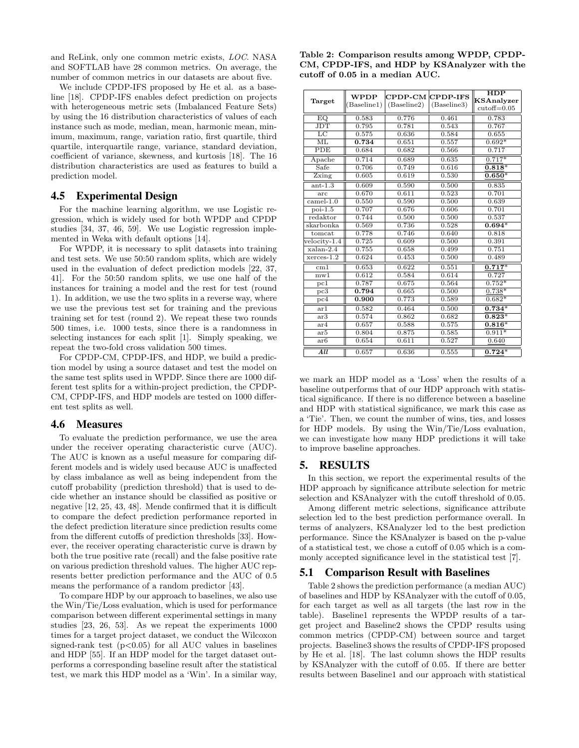and ReLink, only one common metric exists, LOC. NASA and SOFTLAB have 28 common metrics. On average, the number of common metrics in our datasets are about five.

We include CPDP-IFS proposed by He et al. as a baseline [18]. CPDP-IFS enables defect prediction on projects with heterogeneous metric sets (Imbalanced Feature Sets) by using the 16 distribution characteristics of values of each instance such as mode, median, mean, harmonic mean, minimum, maximum, range, variation ratio, first quartile, third quartile, interquartile range, variance, standard deviation, coefficient of variance, skewness, and kurtosis [18]. The 16 distribution characteristics are used as features to build a prediction model.

## 4.5 Experimental Design

For the machine learning algorithm, we use Logistic regression, which is widely used for both WPDP and CPDP studies [34, 37, 46, 59]. We use Logistic regression implemented in Weka with default options [14].

For WPDP, it is necessary to split datasets into training and test sets. We use 50:50 random splits, which are widely used in the evaluation of defect prediction models [22, 37, 41]. For the 50:50 random splits, we use one half of the instances for training a model and the rest for test (round 1). In addition, we use the two splits in a reverse way, where we use the previous test set for training and the previous training set for test (round 2). We repeat these two rounds 500 times, i.e. 1000 tests, since there is a randomness in selecting instances for each split [1]. Simply speaking, we repeat the two-fold cross validation 500 times.

For CPDP-CM, CPDP-IFS, and HDP, we build a prediction model by using a source dataset and test the model on the same test splits used in WPDP. Since there are 1000 different test splits for a within-project prediction, the CPDP-CM, CPDP-IFS, and HDP models are tested on 1000 different test splits as well.

#### 4.6 Measures

To evaluate the prediction performance, we use the area under the receiver operating characteristic curve (AUC). The AUC is known as a useful measure for comparing different models and is widely used because AUC is unaffected by class imbalance as well as being independent from the cutoff probability (prediction threshold) that is used to decide whether an instance should be classified as positive or negative [12, 25, 43, 48]. Mende confirmed that it is difficult to compare the defect prediction performance reported in the defect prediction literature since prediction results come from the different cutoffs of prediction thresholds [33]. However, the receiver operating characteristic curve is drawn by both the true positive rate (recall) and the false positive rate on various prediction threshold values. The higher AUC represents better prediction performance and the AUC of 0.5 means the performance of a random predictor [43].

To compare HDP by our approach to baselines, we also use the Win/Tie/Loss evaluation, which is used for performance comparison between different experimental settings in many studies [23, 26, 53]. As we repeat the experiments 1000 times for a target project dataset, we conduct the Wilcoxon signed-rank test  $(p<0.05)$  for all AUC values in baselines and HDP [55]. If an HDP model for the target dataset outperforms a corresponding baseline result after the statistical test, we mark this HDP model as a 'Win'. In a similar way,

Table 2: Comparison results among WPDP, CPDP-CM, CPDP-IFS, and HDP by KSAnalyzer with the cutoff of 0.05 in a median AUC.

| Target                 | <b>WPDP</b><br>Baseline1) | CPDP-CM CPDP-IFS<br>(Baseline2) | (Baseline3) | HDP<br>KSAnalyzer<br>$cutoff = 0.05$ |
|------------------------|---------------------------|---------------------------------|-------------|--------------------------------------|
| EQ.                    | 0.583                     | 0.776                           | 0.461       | 0.783                                |
| <b>JDT</b>             | 0.795                     | 0.781                           | 0.543       | 0.767                                |
| LC                     | 0.575                     | 0.636                           | 0.584       | 0.655                                |
| $\overline{\text{ML}}$ | 0.734                     | 0.651                           | 0.557       | $0.692*$                             |
| <b>PDE</b>             | 0.684                     | 0.682                           | 0.566       | 0.717                                |
| Apache                 | 0.714                     | 0.689                           | 0.635       | $0.717*$                             |
| Safe                   | 0.706                     | 0.749                           | 0.616       | $0.818*$                             |
| Zxing                  | 0.605                     | 0.619                           | 0.530       | $0.650*$                             |
| $ant-1.3$              | 0.609                     | 0.590                           | 0.500       | 0.835                                |
| arc                    | 0.670                     | 0.611                           | 0.523       | 0.701                                |
| $camel-1.0$            | 0.550                     | 0.590                           | 0.500       | 0.639                                |
| $poi-1.5$              | 0.707                     | 0.676                           | 0.606       | 0.701                                |
| redaktor               | 0.744                     | 0.500                           | 0.500       | 0.537                                |
| skarbonka              | 0.569                     | 0.736                           | 0.528       | $0.694*$                             |
| tomcat                 | 0.778                     | 0.746                           | 0.640       | 0.818                                |
| velocity-1.4           | 0.725                     | 0.609                           | 0.500       | 0.391                                |
| $xalan-2.4$            | 0.755                     | 0.658                           | 0.499       | 0.751                                |
| $x$ erces-1.2          | 0.624                     | 0.453                           | 0.500       | 0.489                                |
| cm1                    | 0.653                     | 0.622                           | 0.551       | $0.717*$                             |
| $m\overline{w1}$       | 0.612                     | 0.584                           | 0.614       | 0.727                                |
| pc1                    | 0.787                     | 0.675                           | 0.564       | $0.752*$                             |
| pc3                    | 0.794                     | 0.665                           | 0.500       | $0.738*$                             |
| pc4                    | 0.900                     | 0.773                           | 0.589       | $0.682*$                             |
| ar1                    | 0.582                     | 0.464                           | 0.500       | $0.734*$                             |
| ar3                    | 0.574                     | 0.862                           | 0.682       | $0.823*$                             |
| ar4                    | 0.657                     | 0.588                           | 0.575       | $0.816*$                             |
| ar5                    | 0.804                     | 0.875                           | 0.585       | $0.911*$                             |
| ar6                    | 0.654                     | 0.611                           | 0.527       | 0.640                                |
| All.                   | 0.657                     | 0.636                           | 0.555       | $0.724*$                             |

we mark an HDP model as a 'Loss' when the results of a baseline outperforms that of our HDP approach with statistical significance. If there is no difference between a baseline and HDP with statistical significance, we mark this case as a 'Tie'. Then, we count the number of wins, ties, and losses for HDP models. By using the Win/Tie/Loss evaluation, we can investigate how many HDP predictions it will take to improve baseline approaches.

#### 5. RESULTS

In this section, we report the experimental results of the HDP approach by significance attribute selection for metric selection and KSAnalyzer with the cutoff threshold of 0.05.

Among different metric selections, significance attribute selection led to the best prediction performance overall. In terms of analyzers, KSAnalyzer led to the best prediction performance. Since the KSAnalyzer is based on the p-value of a statistical test, we chose a cutoff of 0.05 which is a commonly accepted significance level in the statistical test [7].

#### 5.1 Comparison Result with Baselines

Table 2 shows the prediction performance (a median AUC) of baselines and HDP by KSAnalyzer with the cutoff of 0.05, for each target as well as all targets (the last row in the table). Baseline1 represents the WPDP results of a target project and Baseline2 shows the CPDP results using common metrics (CPDP-CM) between source and target projects. Baseline3 shows the results of CPDP-IFS proposed by He et al. [18]. The last column shows the HDP results by KSAnalyzer with the cutoff of 0.05. If there are better results between Baseline1 and our approach with statistical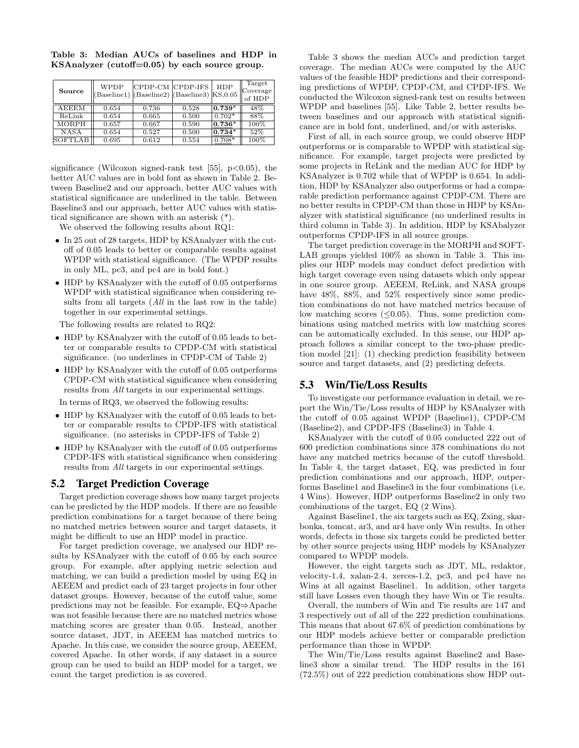| Source         | WPDP<br>$(Baseline1)$ $(Baseline2)$ $(Baseline3)$ $KS,0.05$ | CPDP-CM CPDP-IFS |       | <b>HDP</b> | Target<br>Coverage<br>of HDP |
|----------------|-------------------------------------------------------------|------------------|-------|------------|------------------------------|
| <b>AEEEM</b>   | 0.654                                                       | 0.736            | 0.528 | $0.739*$   | 48%                          |
| ReLink         | 0.654                                                       | 0.665            | 0.500 | $0.702*$   | 88%                          |
| <b>MORPH</b>   | 0.657                                                       | 0.667            | 0.590 | $ 0.736*$  | 100%                         |
| <b>NASA</b>    | 0.654                                                       | 0.527            | 0.500 | $0.734*$   | 52%                          |
| <b>SOFTLAB</b> | 0.695                                                       | 0.612            | 0.554 | $0.708*$   | 100%                         |

Table 3: Median AUCs of baselines and HDP in KSAnalyzer (cutoff=0.05) by each source group.

significance (Wilcoxon signed-rank test [55],  $p<0.05$ ), the better AUC values are in bold font as shown in Table 2. Between Baseline2 and our approach, better AUC values with statistical significance are underlined in the table. Between Baseline3 and our approach, better AUC values with statistical significance are shown with an asterisk (\*).

We observed the following results about RQ1:

- In 25 out of 28 targets, HDP by KSAnalyzer with the cutoff of 0.05 leads to better or comparable results against WPDP with statistical significance. (The WPDP results in only ML, pc3, and pc4 are in bold font.)
- HDP by KSAnalyzer with the cutoff of 0.05 outperforms WPDP with statistical significance when considering results from all targets (All in the last row in the table) together in our experimental settings.

The following results are related to RQ2:

- HDP by KSAnalyzer with the cutoff of 0.05 leads to better or comparable results to CPDP-CM with statistical significance. (no underlines in CPDP-CM of Table 2)
- HDP by KSAnalyzer with the cutoff of 0.05 outperforms CPDP-CM with statistical significance when considering results from All targets in our experimental settings.

In terms of RQ3, we observed the following results:

- HDP by KSAnalyzer with the cutoff of 0.05 leads to better or comparable results to CPDP-IFS with statistical significance. (no asterisks in CPDP-IFS of Table 2)
- HDP by KSAnalyzer with the cutoff of 0.05 outperforms CPDP-IFS with statistical significance when considering results from All targets in our experimental settings.

## 5.2 Target Prediction Coverage

Target prediction coverage shows how many target projects can be predicted by the HDP models. If there are no feasible prediction combinations for a target because of there being no matched metrics between source and target datasets, it might be difficult to use an HDP model in practice.

For target prediction coverage, we analysed our HDP results by KSAnalyzer with the cutoff of 0.05 by each source group. For example, after applying metric selection and matching, we can build a prediction model by using EQ in AEEEM and predict each of 23 target projects in four other dataset groups. However, because of the cutoff value, some predictions may not be feasible. For example, EQ⇒Apache was not feasible because there are no matched metrics whose matching scores are greater than 0.05. Instead, another source dataset, JDT, in AEEEM has matched metrics to Apache. In this case, we consider the source group, AEEEM, covered Apache. In other words, if any dataset in a source group can be used to build an HDP model for a target, we count the target prediction is as covered.

Table 3 shows the median AUCs and prediction target coverage. The median AUCs were computed by the AUC values of the feasible HDP predictions and their corresponding predictions of WPDP, CPDP-CM, and CPDP-IFS. We conducted the Wilcoxon signed-rank test on results between WPDP and baselines [55]. Like Table 2, better results between baselines and our approach with statistical significance are in bold font, underlined, and/or with asterisks.

First of all, in each source group, we could observe HDP outperforms or is comparable to WPDP with statistical significance. For example, target projects were predicted by some projects in ReLink and the median AUC for HDP by KSAnalyzer is 0.702 while that of WPDP is 0.654. In addition, HDP by KSAnalyzer also outperforms or had a comparable prediction performance against CPDP-CM. There are no better results in CPDP-CM than those in HDP by KSAnalyzer with statistical significance (no underlined results in third column in Table 3). In addition, HDP by KSAbalyzer outperforms CPDP-IFS in all source groups.

The target prediction coverage in the MORPH and SOFT-LAB groups yielded 100% as shown in Table 3. This implies our HDP models may conduct defect prediction with high target coverage even using datasets which only appear in one source group. AEEEM, ReLink, and NASA groups have  $48\%, 88\%, \text{ and } 52\%$  respectively since some prediction combinations do not have matched metrics because of low matching scores  $(\leq 0.05)$ . Thus, some prediction combinations using matched metrics with low matching scores can be automatically excluded. In this sense, our HDP approach follows a similar concept to the two-phase prediction model [21]: (1) checking prediction feasibility between source and target datasets, and (2) predicting defects.

#### 5.3 Win/Tie/Loss Results

To investigate our performance evaluation in detail, we report the Win/Tie/Loss results of HDP by KSAnalyzer with the cutoff of 0.05 against WPDP (Baseline1), CPDP-CM (Baseline2), and CPDP-IFS (Baseline3) in Table 4.

KSAnalyzer with the cutoff of 0.05 conducted 222 out of 600 prediction combinations since 378 combinations do not have any matched metrics because of the cutoff threshold. In Table 4, the target dataset, EQ, was predicted in four prediction combinations and our approach, HDP, outperforms Baseline1 and Baseline3 in the four combinations (i.e. 4 Wins). However, HDP outperforms Baseline2 in only two combinations of the target, EQ (2 Wins).

Against Baseline1, the six targets such as EQ, Zxing, skarbonka, tomcat, ar3, and ar4 have only Win results. In other words, defects in those six targets could be predicted better by other source projects using HDP models by KSAnalyzer compared to WPDP models.

However, the eight targets such as JDT, ML, redaktor, velocity-1.4, xalan-2.4, xerces-1.2, pc3, and pc4 have no Wins at all against Baseline1. In addition, other targets still have Losses even though they have Win or Tie results.

Overall, the numbers of Win and Tie results are 147 and 3 respectively out of all of the 222 prediction combinations. This means that about 67.6% of prediction combinations by our HDP models achieve better or comparable prediction performance than those in WPDP.

The Win/Tie/Loss results against Baseline2 and Baseline3 show a similar trend. The HDP results in the 161 (72.5%) out of 222 prediction combinations show HDP out-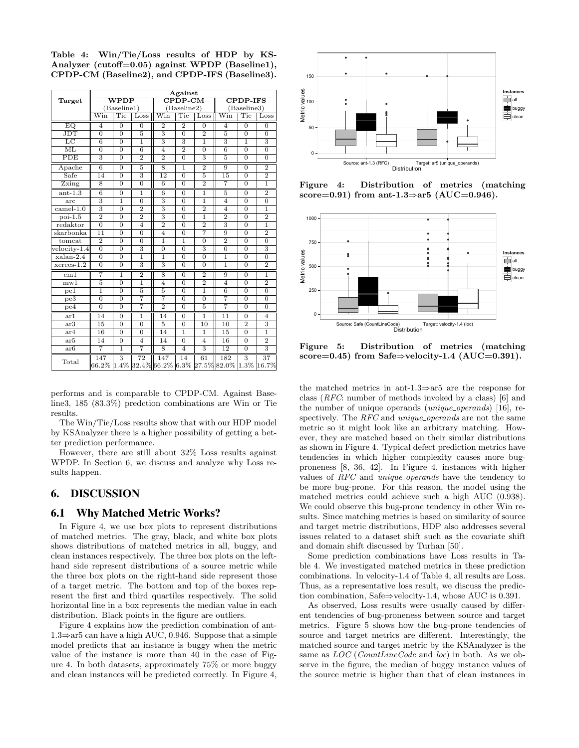Table 4: Win/Tie/Loss results of HDP by KS-Analyzer (cutoff=0.05) against WPDP (Baseline1), CPDP-CM (Baseline2), and CPDP-IFS (Baseline3).

|                         | Against                 |                |                           |                           |                |                |                                |                |                           |  |  |
|-------------------------|-------------------------|----------------|---------------------------|---------------------------|----------------|----------------|--------------------------------|----------------|---------------------------|--|--|
| Target                  |                         | $\rm WPDF$     |                           | $CPDP$ - $CM$             |                |                | <b>CPDP-IFS</b>                |                |                           |  |  |
|                         | (Baseline1)             |                |                           |                           | (Baseline2)    |                | (Baseline3)                    |                |                           |  |  |
|                         | $\overline{\text{Win}}$ | Tie            | Loss                      | $\overline{\text{Win}}$   | Tie            | Loss           | $\overline{\text{Win}}$        | Tie            | Loss                      |  |  |
| $\overline{EQ}$         | $\overline{4}$          | $\overline{0}$ | $\overline{0}$            | $\overline{2}$            | $\overline{2}$ | $\overline{0}$ | $\overline{4}$                 | $\overline{0}$ | $\overline{0}$            |  |  |
| $\overline{\text{JDT}}$ | $\Omega$                | $\Omega$       | $\overline{5}$            | $\overline{\overline{3}}$ | $\Omega$       | $\overline{2}$ | $\overline{5}$                 | $\Omega$       | $\Omega$                  |  |  |
| $_{\rm LC}$             | $\overline{6}$          | $\overline{0}$ | $\overline{1}$            | 3                         | $\overline{3}$ | $\overline{1}$ | $\overline{3}$                 | $\overline{1}$ | $\overline{3}$            |  |  |
| $\overline{\text{ML}}$  | $\overline{0}$          | $\overline{0}$ | 6                         | $\overline{4}$            | $\overline{2}$ | $\overline{0}$ | 6                              | $\overline{0}$ | $\overline{0}$            |  |  |
| PDE                     | $\overline{3}$          | $\overline{0}$ | $\overline{2}$            | $\overline{2}$            | $\overline{0}$ | $\overline{3}$ | $\overline{5}$                 | $\overline{0}$ | $\overline{0}$            |  |  |
| Apache                  | 6                       | $\Omega$       | 5                         | 8                         | $\overline{1}$ | $\overline{2}$ | 9                              | $\Omega$       | $\overline{2}$            |  |  |
| Safe                    | $\overline{14}$         | $\overline{0}$ | $\overline{3}$            | $\overline{12}$           | $\overline{0}$ | $\overline{5}$ | $\overline{15}$                | $\overline{0}$ | $\overline{2}$            |  |  |
| Zxing                   | 8                       | $\Omega$       | $\overline{0}$            | 6                         | $\overline{0}$ | $\overline{2}$ | 7                              | $\Omega$       | $\overline{1}$            |  |  |
| $ant-1.3$               | $\overline{6}$          | $\overline{0}$ | $\overline{1}$            | $\overline{6}$            | $\overline{0}$ | $\overline{1}$ | $\overline{5}$                 | $\overline{0}$ | $\overline{2}$            |  |  |
| arc                     | 3                       | $\overline{1}$ | $\overline{0}$            | 3                         | $\overline{0}$ | ī              | $\overline{4}$                 | $\Omega$       | $\overline{0}$            |  |  |
| $camel-1.0$             | $\overline{3}$          | $\overline{0}$ | $\overline{2}$            | $\overline{3}$            | $\overline{0}$ | $\overline{2}$ | $\overline{4}$                 | $\overline{0}$ | 1                         |  |  |
| $poi-1.5$               | $\overline{2}$          | $\overline{0}$ | $\overline{2}$            | $\overline{3}$            | $\overline{0}$ | $\overline{1}$ | $\overline{2}$                 | $\overline{0}$ | $\overline{2}$            |  |  |
| redaktor                | $\overline{0}$          | $\overline{0}$ | $\overline{4}$            | $\overline{2}$            | $\overline{0}$ | $\overline{2}$ | $\overline{\overline{3}}$      | $\overline{0}$ | $\overline{1}$            |  |  |
| skarbonka               | $\overline{11}$         | $\overline{0}$ | $\overline{0}$            | $\overline{4}$            | $\overline{0}$ | 7              | $\overline{9}$                 | $\overline{0}$ | $\overline{2}$            |  |  |
| tomcat                  | $\overline{2}$          | $\overline{0}$ | $\overline{0}$            | $\overline{1}$            | $\mathbf{1}$   | $\overline{0}$ | $\overline{2}$                 | $\overline{0}$ | $\overline{0}$            |  |  |
| $velocity-1.4$          | $\overline{0}$          | $\overline{0}$ | $\overline{3}$            | $\overline{0}$            | $\overline{0}$ | $\overline{3}$ | $\overline{0}$                 | $\overline{0}$ | $\overline{3}$            |  |  |
| $xalan-2.4$             | $\overline{0}$          | $\Omega$       | $\overline{1}$            | $\overline{1}$            | $\overline{0}$ | $\overline{0}$ | $\overline{1}$                 | $\overline{0}$ | $\overline{0}$            |  |  |
| $x$ erces- $1.2$        | $\overline{0}$          | $\overline{0}$ | $\overline{\overline{3}}$ | $\overline{\overline{3}}$ | $\overline{0}$ | $\Omega$       | $\overline{1}$                 | $\overline{0}$ | $\overline{2}$            |  |  |
| cm1                     | 7                       | 1              | $\overline{2}$            | 8                         | $\Omega$       | $\overline{2}$ | 9                              | $\Omega$       | 1                         |  |  |
| mwt                     | $\overline{5}$          | $\overline{0}$ | ī                         | $\overline{4}$            | $\overline{0}$ | $\overline{2}$ | $\overline{4}$                 | $\overline{0}$ | $\overline{2}$            |  |  |
| pc1                     | $\overline{1}$          | $\overline{0}$ | 5                         | 5                         | $\overline{0}$ | $\overline{1}$ | $\overline{6}$                 | $\overline{0}$ | $\overline{0}$            |  |  |
| $pc\overline{3}$        | $\overline{0}$          | $\overline{0}$ | 7                         | 7                         | $\overline{0}$ | $\overline{0}$ | 7                              | $\overline{0}$ | $\overline{0}$            |  |  |
| pc4                     | $\overline{0}$          | $\overline{0}$ | 7                         | $\overline{2}$            | $\overline{0}$ | $\overline{5}$ | 7                              | $\overline{0}$ | $\overline{0}$            |  |  |
| ar1                     | 14                      | $\Omega$       | $\overline{1}$            | 14                        | $\overline{0}$ | $\mathbf{1}$   | $\overline{11}$                | $\overline{0}$ | $\overline{4}$            |  |  |
| ar3                     | 15                      | $\overline{0}$ | $\overline{0}$            | $\overline{5}$            | $\overline{0}$ | 10             | $\overline{10}$                | $\overline{2}$ | $\overline{3}$            |  |  |
| ar4                     | 16                      | $\overline{0}$ | $\overline{0}$            | 14                        | $\overline{1}$ | $\overline{1}$ | 15                             | $\overline{0}$ | $\overline{1}$            |  |  |
| ar5                     | 14                      | $\overline{0}$ | $\overline{4}$            | 14                        | $\overline{0}$ | $\overline{4}$ | $\overline{16}$                | $\overline{0}$ | $\overline{2}$            |  |  |
| ar6                     | 7                       | ī              | 7                         | 8                         | $\overline{4}$ | 3              | 12                             | $\overline{0}$ | $\overline{\overline{3}}$ |  |  |
|                         | 147                     | $\overline{3}$ | $\overline{72}$           | 147                       | 14             | 61             | 182                            | $\overline{3}$ | 37                        |  |  |
| Total                   | $66.2\%$                | 1.4%           |                           | 32.4% 66.2%               |                |                | $6.3\%$ 27.5% 82.0% 1.3% 16.7% |                |                           |  |  |

performs and is comparable to CPDP-CM. Against Baseline3, 185 (83.3%) predction combinations are Win or Tie results.

The Win/Tie/Loss results show that with our HDP model by KSAnalyzer there is a higher possibility of getting a better prediction performance.

However, there are still about 32% Loss results against WPDP. In Section 6, we discuss and analyze why Loss results happen.

## 6. DISCUSSION

## 6.1 Why Matched Metric Works?

In Figure 4, we use box plots to represent distributions of matched metrics. The gray, black, and white box plots shows distributions of matched metrics in all, buggy, and clean instances respectively. The three box plots on the lefthand side represent distributions of a source metric while the three box plots on the right-hand side represent those of a target metric. The bottom and top of the boxes represent the first and third quartiles respectively. The solid horizontal line in a box represents the median value in each distribution. Black points in the figure are outliers.

Figure 4 explains how the prediction combination of ant-1.3⇒ar5 can have a high AUC, 0.946. Suppose that a simple model predicts that an instance is buggy when the metric value of the instance is more than 40 in the case of Figure 4. In both datasets, approximately 75% or more buggy and clean instances will be predicted correctly. In Figure 4,



Figure 4: Distribution of metrics (matching score=0.91) from ant-1.3⇒ar5 (AUC=0.946).



Figure 5: Distribution of metrics (matching score=0.45) from Safe⇒velocity-1.4 (AUC=0.391).

the matched metrics in ant-1.3⇒ar5 are the response for class (RFC: number of methods invoked by a class) [6] and the number of unique operands (*unique\_operands*) [16], respectively. The RFC and unique operands are not the same metric so it might look like an arbitrary matching. However, they are matched based on their similar distributions as shown in Figure 4. Typical defect prediction metrics have tendencies in which higher complexity causes more bugproneness [8, 36, 42]. In Figure 4, instances with higher values of RFC and unique operands have the tendency to be more bug-prone. For this reason, the model using the matched metrics could achieve such a high AUC (0.938). We could observe this bug-prone tendency in other Win results. Since matching metrics is based on similarity of source and target metric distributions, HDP also addresses several issues related to a dataset shift such as the covariate shift and domain shift discussed by Turhan [50].

Some prediction combinations have Loss results in Table 4. We investigated matched metrics in these prediction combinations. In velocity-1.4 of Table 4, all results are Loss. Thus, as a representative loss result, we discuss the prediction combination, Safe⇒velocity-1.4, whose AUC is 0.391.

As observed, Loss results were usually caused by different tendencies of bug-proneness between source and target metrics. Figure 5 shows how the bug-prone tendencies of source and target metrics are different. Interestingly, the matched source and target metric by the KSAnalyzer is the same as  $LOC$  (*CountLineCode* and *loc*) in both. As we observe in the figure, the median of buggy instance values of the source metric is higher than that of clean instances in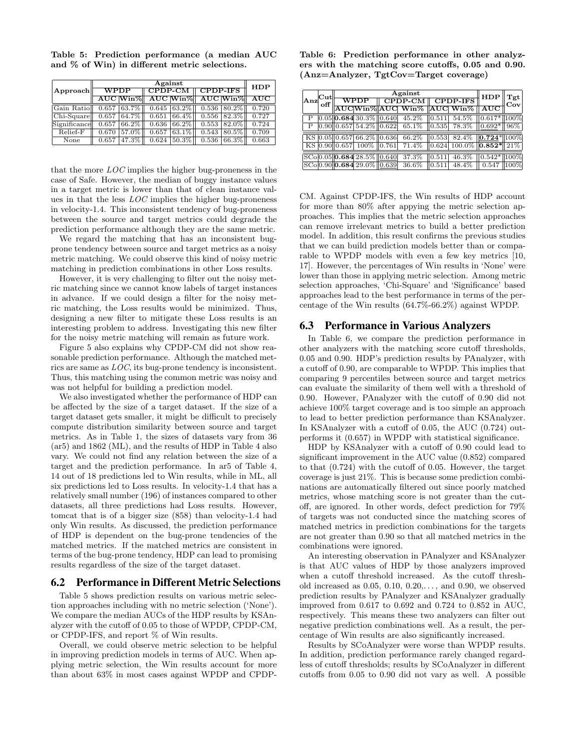|              |       | <b>HDP</b>    |                             |               |                   |                  |                      |
|--------------|-------|---------------|-----------------------------|---------------|-------------------|------------------|----------------------|
| Approach     | WPDP  |               | $\overline{\text{CPDP-CM}}$ |               | <b>CPDP-IFS</b>   |                  |                      |
|              |       | $AUC$ Win%    |                             |               | AUC Win% AUC Win% |                  | $\overline{\rm AUC}$ |
| Gain Ratioll |       | $0.657$ 63.7% |                             | $0.645$ 63.2% |                   | $0.536$   80.2\% | 0.720                |
| Chi-Squarell | 0.657 | $ 64.7\% $    | 0.651                       | 66.4%         | 0.556             | $182.3\%$        | 0.727                |
| Significance | 0.657 | 166.2%        | 0.636                       | $66.2\%$      | 0.553             | $182.0\%$        | 0.724                |
| Relief-F     | 0.670 | 57.0%         | 0.657                       | 63.1%         | 0.543             | 80.5%            | 0.709                |
| None         | 0.657 | 47.3%         | 0.624                       | $50.3\%$      | 0.536             | 66.3%            | 0.663                |

Table 5: Prediction performance (a median AUC and % of Win) in different metric selections.

that the more LOC implies the higher bug-proneness in the case of Safe. However, the median of buggy instance values in a target metric is lower than that of clean instance values in that the less LOC implies the higher bug-proneness in velocity-1.4. This inconsistent tendency of bug-proneness between the source and target metrics could degrade the prediction performance although they are the same metric.

We regard the matching that has an inconsistent bugprone tendency between source and target metrics as a noisy metric matching. We could observe this kind of noisy metric matching in prediction combinations in other Loss results.

However, it is very challenging to filter out the noisy metric matching since we cannot know labels of target instances in advance. If we could design a filter for the noisy metric matching, the Loss results would be minimized. Thus, designing a new filter to mitigate these Loss results is an interesting problem to address. Investigating this new filter for the noisy metric matching will remain as future work.

Figure 5 also explains why CPDP-CM did not show reasonable prediction performance. Although the matched metrics are same as LOC, its bug-prone tendency is inconsistent. Thus, this matching using the common metric was noisy and was not helpful for building a prediction model.

We also investigated whether the performance of HDP can be affected by the size of a target dataset. If the size of a target dataset gets smaller, it might be difficult to precisely compute distribution similarity between source and target metrics. As in Table 1, the sizes of datasets vary from 36 (ar5) and 1862 (ML), and the results of HDP in Table 4 also vary. We could not find any relation between the size of a target and the prediction performance. In ar5 of Table 4, 14 out of 18 predictions led to Win results, while in ML, all six predictions led to Loss results. In velocity-1.4 that has a relatively small number (196) of instances compared to other datasets, all three predictions had Loss results. However, tomcat that is of a bigger size (858) than velocity-1.4 had only Win results. As discussed, the prediction performance of HDP is dependent on the bug-prone tendencies of the matched metrics. If the matched metrics are consistent in terms of the bug-prone tendency, HDP can lead to promising results regardless of the size of the target dataset.

#### 6.2 Performance in Different Metric Selections

Table 5 shows prediction results on various metric selection approaches including with no metric selection ('None'). We compare the median AUCs of the HDP results by KSAnalyzer with the cutoff of 0.05 to those of WPDP, CPDP-CM, or CPDP-IFS, and report % of Win results.

Overall, we could observe metric selection to be helpful in improving prediction models in terms of AUC. When applying metric selection, the Win results account for more than about 63% in most cases against WPDP and CPDP-

Table 6: Prediction performance in other analyzers with the matching score cutoffs, 0.05 and 0.90. (Anz=Analyzer, TgtCov=Target coverage)

|            |  |  | $\mathbf{Tgt}_{\mathfrak{l}}$ |  |                                                                                                                                                      |  |  |     |
|------------|--|--|-------------------------------|--|------------------------------------------------------------------------------------------------------------------------------------------------------|--|--|-----|
| Anz<br>off |  |  |                               |  |                                                                                                                                                      |  |  | Cov |
|            |  |  |                               |  |                                                                                                                                                      |  |  |     |
|            |  |  |                               |  | $ 0.05 $ <b>0.684</b> 30.3% $ 0.640 $ 45.2% $ 0.511 $ 54.5% $ 0.617* 100\%$                                                                          |  |  |     |
|            |  |  |                               |  | $\vert 0.90 \vert \vert 0.657 \vert 54.2\% \vert \vert 0.622 \vert 65.1\% \vert \vert 0.535 \vert 78.3\% \vert \vert 0.692^* \vert \vert 96\% \vert$ |  |  |     |
|            |  |  |                               |  | $\sqrt{K}$ 6.05 0.05 0.657 66.2% 0.636 66.2% 0.553 82.4% 0.724 $\sqrt{100\%}$                                                                        |  |  |     |
|            |  |  |                               |  | KS $[0.90][0.657]$ $100\%$ $[0.761]$ $71.4\%$ $[0.624]$ $100.0\%$ $[0.852*]$ $21\%$                                                                  |  |  |     |
|            |  |  |                               |  |                                                                                                                                                      |  |  |     |
|            |  |  |                               |  | $SC_0[0.90]$ $0.684$ 29.0% $\left 0.639\right $ 36.6% $\left 0.511\right $ 48.4% $\left 0.547\right $ $\left 100\right>$                             |  |  |     |

CM. Against CPDP-IFS, the Win results of HDP account for more than 80% after appying the metric selection approaches. This implies that the metric selection approaches can remove irrelevant metrics to build a better prediction model. In addition, this result confirms the previous studies that we can build prediction models better than or comparable to WPDP models with even a few key metrics [10, 17]. However, the percentages of Win results in 'None' were lower than those in applying metric selection. Among metric selection approaches, 'Chi-Square' and 'Significance' based approaches lead to the best performance in terms of the percentage of the Win results (64.7%-66.2%) against WPDP.

## 6.3 Performance in Various Analyzers

In Table 6, we compare the prediction performance in other analyzers with the matching score cutoff thresholds, 0.05 and 0.90. HDP's prediction results by PAnalyzer, with a cutoff of 0.90, are comparable to WPDP. This implies that comparing 9 percentiles between source and target metrics can evaluate the similarity of them well with a threshold of 0.90. However, PAnalyzer with the cutoff of 0.90 did not achieve 100% target coverage and is too simple an approach to lead to better prediction performance than KSAnalyzer. In KSAnalyzer with a cutoff of 0.05, the AUC (0.724) outperforms it (0.657) in WPDP with statistical significance.

HDP by KSAnalyzer with a cutoff of 0.90 could lead to significant improvement in the AUC value (0.852) compared to that (0.724) with the cutoff of 0.05. However, the target coverage is just 21%. This is because some prediction combinations are automatically filtered out since poorly matched metrics, whose matching score is not greater than the cutoff, are ignored. In other words, defect prediction for 79% of targets was not conducted since the matching scores of matched metrics in prediction combinations for the targets are not greater than 0.90 so that all matched metrics in the combinations were ignored.

An interesting observation in PAnalyzer and KSAnalyzer is that AUC values of HDP by those analyzers improved when a cutoff threshold increased. As the cutoff threshold increased as  $0.05, 0.10, 0.20,...$ , and  $0.90$ , we observed prediction results by PAnalyzer and KSAnalyzer gradually improved from 0.617 to 0.692 and 0.724 to 0.852 in AUC, respectively. This means these two analyzers can filter out negative prediction combinations well. As a result, the percentage of Win results are also significantly increased.

Results by SCoAnalyzer were worse than WPDP results. In addition, prediction performance rarely changed regardless of cutoff thresholds; results by SCoAnalyzer in different cutoffs from 0.05 to 0.90 did not vary as well. A possible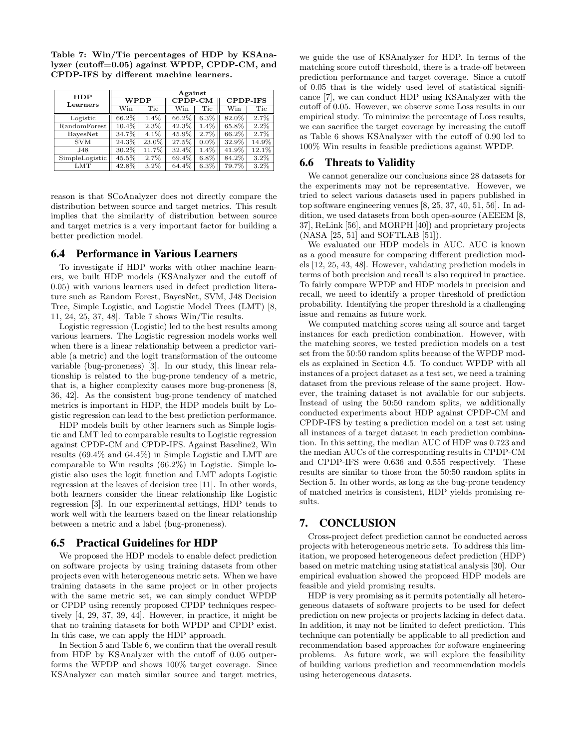Table 7: Win/Tie percentages of HDP by KSAnalyzer (cutoff=0.05) against WPDP, CPDP-CM, and CPDP-IFS by different machine learners.

| <b>HDP</b>      | Against    |         |                             |         |                 |         |  |  |  |
|-----------------|------------|---------|-----------------------------|---------|-----------------|---------|--|--|--|
| Learners        | $\rm WPDF$ |         | $\overline{\text{CPDP-CM}}$ |         | <b>CPDP-IFS</b> |         |  |  |  |
|                 | Win        | Tie     | $\overline{\text{Win}}$     | Tie     | Win             | Tie     |  |  |  |
| Logistic        | 66.2%      | 1.4%    | 66.2%                       | $6.3\%$ | 82.0%           | 2.7%    |  |  |  |
| RandomForest    | 10.4%      | 2.3%    | 42.3%                       | $1.4\%$ | 65.8%           | $2.2\%$ |  |  |  |
| <b>BayesNet</b> | 34.7%      | $4.1\%$ | 45.9%                       | 2.7%    | 66.2%           | 2.7%    |  |  |  |
| <b>SVM</b>      | 24.3%      | 23.0%   | 27.5%                       | $0.0\%$ | 32.9%           | 14.9%   |  |  |  |
| J48             | 30.2%      | 11.7%   | 32.4%                       | $1.4\%$ | 41.9%           | 12.1%   |  |  |  |
| SimpleLogistic  | 45.5%      | 2.7%    | 69.4%                       | $6.8\%$ | 84.2%           | $3.2\%$ |  |  |  |
| <b>LMT</b>      | 42.8%      | 3.2%    | 64.4%                       | 6.3%    | 79.7%           | $3.2\%$ |  |  |  |

reason is that SCoAnalyzer does not directly compare the distribution between source and target metrics. This result implies that the similarity of distribution between source and target metrics is a very important factor for building a better prediction model.

## 6.4 Performance in Various Learners

To investigate if HDP works with other machine learners, we built HDP models (KSAnalyzer and the cutoff of 0.05) with various learners used in defect prediction literature such as Random Forest, BayesNet, SVM, J48 Decision Tree, Simple Logistic, and Logistic Model Trees (LMT) [8, 11, 24, 25, 37, 48]. Table 7 shows Win/Tie results.

Logistic regression (Logistic) led to the best results among various learners. The Logistic regression models works well when there is a linear relationship between a predictor variable (a metric) and the logit transformation of the outcome variable (bug-proneness) [3]. In our study, this linear relationship is related to the bug-prone tendency of a metric, that is, a higher complexity causes more bug-proneness [8, 36, 42]. As the consistent bug-prone tendency of matched metrics is important in HDP, the HDP models built by Logistic regression can lead to the best prediction performance.

HDP models built by other learners such as Simple logistic and LMT led to comparable results to Logistic regression against CPDP-CM and CPDP-IFS. Against Baseline2, Win results (69.4% and 64.4%) in Simple Logistic and LMT are comparable to Win results (66.2%) in Logistic. Simple logistic also uses the logit function and LMT adopts Logistic regression at the leaves of decision tree [11]. In other words, both learners consider the linear relationship like Logistic regression [3]. In our experimental settings, HDP tends to work well with the learners based on the linear relationship between a metric and a label (bug-proneness).

## 6.5 Practical Guidelines for HDP

We proposed the HDP models to enable defect prediction on software projects by using training datasets from other projects even with heterogeneous metric sets. When we have training datasets in the same project or in other projects with the same metric set, we can simply conduct WPDP or CPDP using recently proposed CPDP techniques respectively [4, 29, 37, 39, 44]. However, in practice, it might be that no training datasets for both WPDP and CPDP exist. In this case, we can apply the HDP approach.

In Section 5 and Table 6, we confirm that the overall result from HDP by KSAnalyzer with the cutoff of 0.05 outperforms the WPDP and shows 100% target coverage. Since KSAnalyzer can match similar source and target metrics,

we guide the use of KSAnalyzer for HDP. In terms of the matching score cutoff threshold, there is a trade-off between prediction performance and target coverage. Since a cutoff of 0.05 that is the widely used level of statistical significance [7], we can conduct HDP using KSAnalyzer with the cutoff of 0.05. However, we observe some Loss results in our empirical study. To minimize the percentage of Loss results, we can sacrifice the target coverage by increasing the cutoff as Table 6 shows KSAnalyzer with the cutoff of 0.90 led to 100% Win results in feasible predictions against WPDP.

## 6.6 Threats to Validity

We cannot generalize our conclusions since 28 datasets for the experiments may not be representative. However, we tried to select various datasets used in papers published in top software engineering venues [8, 25, 37, 40, 51, 56]. In addition, we used datasets from both open-source (AEEEM [8, 37], ReLink [56], and MORPH [40]) and proprietary projects (NASA [25, 51] and SOFTLAB [51]).

We evaluated our HDP models in AUC. AUC is known as a good measure for comparing different prediction models [12, 25, 43, 48]. However, validating prediction models in terms of both precision and recall is also required in practice. To fairly compare WPDP and HDP models in precision and recall, we need to identify a proper threshold of prediction probability. Identifying the proper threshold is a challenging issue and remains as future work.

We computed matching scores using all source and target instances for each prediction combination. However, with the matching scores, we tested prediction models on a test set from the 50:50 random splits because of the WPDP models as explained in Section 4.5. To conduct WPDP with all instances of a project dataset as a test set, we need a training dataset from the previous release of the same project. However, the training dataset is not available for our subjects. Instead of using the 50:50 random splits, we additionally conducted experiments about HDP against CPDP-CM and CPDP-IFS by testing a prediction model on a test set using all instances of a target dataset in each prediction combination. In this setting, the median AUC of HDP was 0.723 and the median AUCs of the corresponding results in CPDP-CM and CPDP-IFS were 0.636 and 0.555 respectively. These results are similar to those from the 50:50 random splits in Section 5. In other words, as long as the bug-prone tendency of matched metrics is consistent, HDP yields promising results.

## 7. CONCLUSION

Cross-project defect prediction cannot be conducted across projects with heterogeneous metric sets. To address this limitation, we proposed heterogeneous defect prediction (HDP) based on metric matching using statistical analysis [30]. Our empirical evaluation showed the proposed HDP models are feasible and yield promising results.

HDP is very promising as it permits potentially all heterogeneous datasets of software projects to be used for defect prediction on new projects or projects lacking in defect data. In addition, it may not be limited to defect prediction. This technique can potentially be applicable to all prediction and recommendation based approaches for software engineering problems. As future work, we will explore the feasibility of building various prediction and recommendation models using heterogeneous datasets.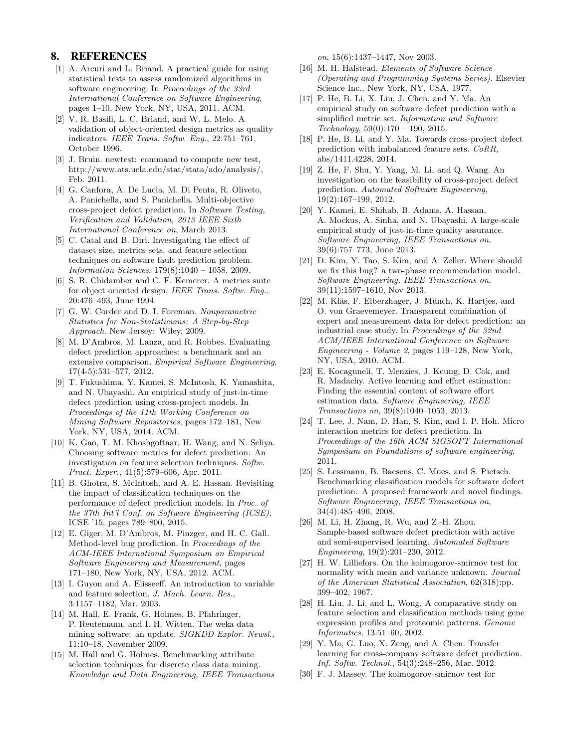## 8. REFERENCES

- [1] A. Arcuri and L. Briand. A practical guide for using statistical tests to assess randomized algorithms in software engineering. In Proceedings of the 33rd International Conference on Software Engineering, pages 1–10, New York, NY, USA, 2011. ACM.
- [2] V. R. Basili, L. C. Briand, and W. L. Melo. A validation of object-oriented design metrics as quality indicators. IEEE Trans. Softw. Eng., 22:751–761, October 1996.
- [3] J. Bruin. newtest: command to compute new test, http://www.ats.ucla.edu/stat/stata/ado/analysis/, Feb. 2011.
- [4] G. Canfora, A. De Lucia, M. Di Penta, R. Oliveto, A. Panichella, and S. Panichella. Multi-objective cross-project defect prediction. In Software Testing, Verification and Validation, 2013 IEEE Sixth International Conference on, March 2013.
- [5] C. Catal and B. Diri. Investigating the effect of dataset size, metrics sets, and feature selection techniques on software fault prediction problem. Information Sciences, 179(8):1040 – 1058, 2009.
- [6] S. R. Chidamber and C. F. Kemerer. A metrics suite for object oriented design. IEEE Trans. Softw. Eng., 20:476–493, June 1994.
- [7] G. W. Corder and D. I. Foreman. Nonparametric Statistics for Non-Statisticians: A Step-by-Step Approach. New Jersey: Wiley, 2009.
- [8] M. D'Ambros, M. Lanza, and R. Robbes. Evaluating defect prediction approaches: a benchmark and an extensive comparison. Empirical Software Engineering, 17(4-5):531–577, 2012.
- [9] T. Fukushima, Y. Kamei, S. McIntosh, K. Yamashita, and N. Ubayashi. An empirical study of just-in-time defect prediction using cross-project models. In Proceedings of the 11th Working Conference on Mining Software Repositories, pages 172–181, New York, NY, USA, 2014. ACM.
- [10] K. Gao, T. M. Khoshgoftaar, H. Wang, and N. Seliya. Choosing software metrics for defect prediction: An investigation on feature selection techniques. Softw. Pract. Exper., 41(5):579–606, Apr. 2011.
- [11] B. Ghotra, S. McIntosh, and A. E. Hassan. Revisiting the impact of classification techniques on the performance of defect prediction models. In Proc. of the 37th Int'l Conf. on Software Engineering (ICSE), ICSE '15, pages 789–800, 2015.
- [12] E. Giger, M. D'Ambros, M. Pinzger, and H. C. Gall. Method-level bug prediction. In Proceedings of the ACM-IEEE International Symposium on Empirical Software Engineering and Measurement, pages 171–180, New York, NY, USA, 2012. ACM.
- [13] I. Guyon and A. Elisseeff. An introduction to variable and feature selection. J. Mach. Learn. Res., 3:1157–1182, Mar. 2003.
- [14] M. Hall, E. Frank, G. Holmes, B. Pfahringer, P. Reutemann, and I. H. Witten. The weka data mining software: an update. SIGKDD Explor. Newsl., 11:10–18, November 2009.
- [15] M. Hall and G. Holmes. Benchmarking attribute selection techniques for discrete class data mining. Knowledge and Data Engineering, IEEE Transactions

on, 15(6):1437–1447, Nov 2003.

- [16] M. H. Halstead. Elements of Software Science (Operating and Programming Systems Series). Elsevier Science Inc., New York, NY, USA, 1977.
- [17] P. He, B. Li, X. Liu, J. Chen, and Y. Ma. An empirical study on software defect prediction with a simplified metric set. Information and Software  $Technology, 59(0):170 - 190, 2015.$
- [18] P. He, B. Li, and Y. Ma. Towards cross-project defect prediction with imbalanced feature sets. CoRR, abs/1411.4228, 2014.
- [19] Z. He, F. Shu, Y. Yang, M. Li, and Q. Wang. An investigation on the feasibility of cross-project defect prediction. Automated Software Engineering, 19(2):167–199, 2012.
- [20] Y. Kamei, E. Shihab, B. Adams, A. Hassan, A. Mockus, A. Sinha, and N. Ubayashi. A large-scale empirical study of just-in-time quality assurance. Software Engineering, IEEE Transactions on, 39(6):757–773, June 2013.
- [21] D. Kim, Y. Tao, S. Kim, and A. Zeller. Where should we fix this bug? a two-phase recommendation model. Software Engineering, IEEE Transactions on, 39(11):1597–1610, Nov 2013.
- [22] M. Kläs, F. Elberzhager, J. Münch, K. Hartjes, and O. von Graevemeyer. Transparent combination of expert and measurement data for defect prediction: an industrial case study. In Proceedings of the 32nd ACM/IEEE International Conference on Software Engineering - Volume 2, pages 119–128, New York, NY, USA, 2010. ACM.
- [23] E. Kocaguneli, T. Menzies, J. Keung, D. Cok, and R. Madachy. Active learning and effort estimation: Finding the essential content of software effort estimation data. Software Engineering, IEEE Transactions on, 39(8):1040–1053, 2013.
- [24] T. Lee, J. Nam, D. Han, S. Kim, and I. P. Hoh. Micro interaction metrics for defect prediction. In Proceedings of the 16th ACM SIGSOFT International Symposium on Foundations of software engineering, 2011.
- [25] S. Lessmann, B. Baesens, C. Mues, and S. Pietsch. Benchmarking classification models for software defect prediction: A proposed framework and novel findings. Software Engineering, IEEE Transactions on, 34(4):485–496, 2008.
- [26] M. Li, H. Zhang, R. Wu, and Z.-H. Zhou. Sample-based software defect prediction with active and semi-supervised learning. Automated Software Engineering, 19(2):201–230, 2012.
- [27] H. W. Lilliefors. On the kolmogorov-smirnov test for normality with mean and variance unknown. Journal of the American Statistical Association, 62(318):pp. 399–402, 1967.
- [28] H. Liu, J. Li, and L. Wong. A comparative study on feature selection and classification methods using gene expression profiles and proteomic patterns. Genome Informatics, 13:51–60, 2002.
- [29] Y. Ma, G. Luo, X. Zeng, and A. Chen. Transfer learning for cross-company software defect prediction. Inf. Softw. Technol., 54(3):248–256, Mar. 2012.
- [30] F. J. Massey. The kolmogorov-smirnov test for